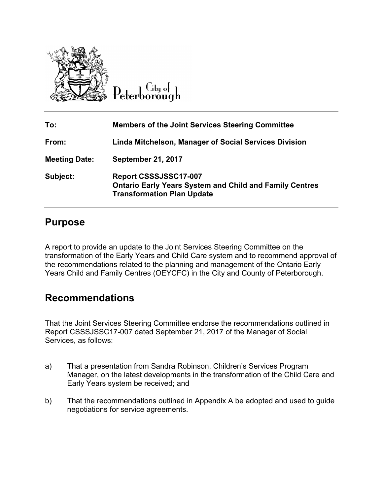

Lity of

| To:                  | <b>Members of the Joint Services Steering Committee</b>                                                                             |
|----------------------|-------------------------------------------------------------------------------------------------------------------------------------|
| From:                | Linda Mitchelson, Manager of Social Services Division                                                                               |
| <b>Meeting Date:</b> | <b>September 21, 2017</b>                                                                                                           |
| Subject:             | <b>Report CSSSJSSC17-007</b><br><b>Ontario Early Years System and Child and Family Centres</b><br><b>Transformation Plan Update</b> |

### **Purpose**

A report to provide an update to the Joint Services Steering Committee on the transformation of the Early Years and Child Care system and to recommend approval of the recommendations related to the planning and management of the Ontario Early Years Child and Family Centres (OEYCFC) in the City and County of Peterborough.

### **Recommendations**

That the Joint Services Steering Committee endorse the recommendations outlined in Report CSSSJSSC17-007 dated September 21, 2017 of the Manager of Social Services, as follows:

- a) That a presentation from Sandra Robinson, Children's Services Program Manager, on the latest developments in the transformation of the Child Care and Early Years system be received; and
- b) That the recommendations outlined in Appendix A be adopted and used to guide negotiations for service agreements.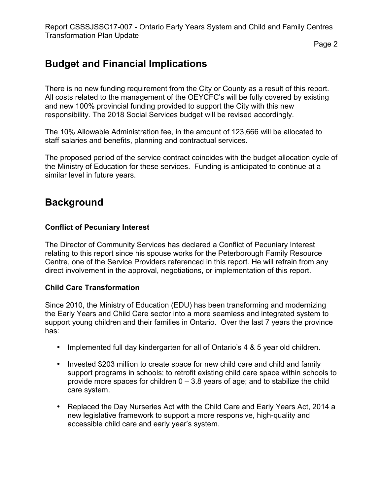# **Budget and Financial Implications**

There is no new funding requirement from the City or County as a result of this report. All costs related to the management of the OEYCFC's will be fully covered by existing and new 100% provincial funding provided to support the City with this new responsibility. The 2018 Social Services budget will be revised accordingly.

The 10% Allowable Administration fee, in the amount of 123,666 will be allocated to staff salaries and benefits, planning and contractual services.

The proposed period of the service contract coincides with the budget allocation cycle of the Ministry of Education for these services. Funding is anticipated to continue at a similar level in future years.

## **Background**

#### **Conflict of Pecuniary Interest**

The Director of Community Services has declared a Conflict of Pecuniary Interest relating to this report since his spouse works for the Peterborough Family Resource Centre, one of the Service Providers referenced in this report. He will refrain from any direct involvement in the approval, negotiations, or implementation of this report.

#### **Child Care Transformation**

Since 2010, the Ministry of Education (EDU) has been transforming and modernizing the Early Years and Child Care sector into a more seamless and integrated system to support young children and their families in Ontario. Over the last 7 years the province has:

- Implemented full day kindergarten for all of Ontario's 4 & 5 year old children.
- Invested \$203 million to create space for new child care and child and family support programs in schools; to retrofit existing child care space within schools to provide more spaces for children  $0 - 3.8$  years of age; and to stabilize the child care system.
- Replaced the Day Nurseries Act with the Child Care and Early Years Act, 2014 a new legislative framework to support a more responsive, high-quality and accessible child care and early year's system.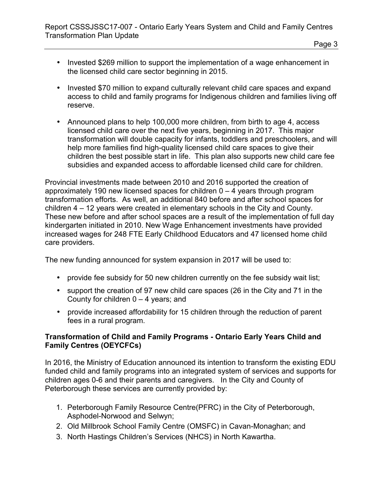- Page 3
- Invested \$269 million to support the implementation of a wage enhancement in the licensed child care sector beginning in 2015.
- Invested \$70 million to expand culturally relevant child care spaces and expand access to child and family programs for Indigenous children and families living off reserve.
- Announced plans to help 100,000 more children, from birth to age 4, access licensed child care over the next five years, beginning in 2017. This major transformation will double capacity for infants, toddlers and preschoolers, and will help more families find high-quality licensed child care spaces to give their children the best possible start in life. This plan also supports new child care fee subsidies and expanded access to affordable licensed child care for children.

Provincial investments made between 2010 and 2016 supported the creation of approximately 190 new licensed spaces for children  $0 - 4$  years through program transformation efforts. As well, an additional 840 before and after school spaces for children 4 – 12 years were created in elementary schools in the City and County. These new before and after school spaces are a result of the implementation of full day kindergarten initiated in 2010. New Wage Enhancement investments have provided increased wages for 248 FTE Early Childhood Educators and 47 licensed home child care providers.

The new funding announced for system expansion in 2017 will be used to:

- provide fee subsidy for 50 new children currently on the fee subsidy wait list;
- support the creation of 97 new child care spaces (26 in the City and 71 in the County for children  $0 - 4$  years; and
- provide increased affordability for 15 children through the reduction of parent fees in a rural program.

#### **Transformation of Child and Family Programs - Ontario Early Years Child and Family Centres (OEYCFCs)**

In 2016, the Ministry of Education announced its intention to transform the existing EDU funded child and family programs into an integrated system of services and supports for children ages 0-6 and their parents and caregivers. In the City and County of Peterborough these services are currently provided by:

- 1. Peterborough Family Resource Centre(PFRC) in the City of Peterborough, Asphodel-Norwood and Selwyn;
- 2. Old Millbrook School Family Centre (OMSFC) in Cavan-Monaghan; and
- 3. North Hastings Children's Services (NHCS) in North Kawartha.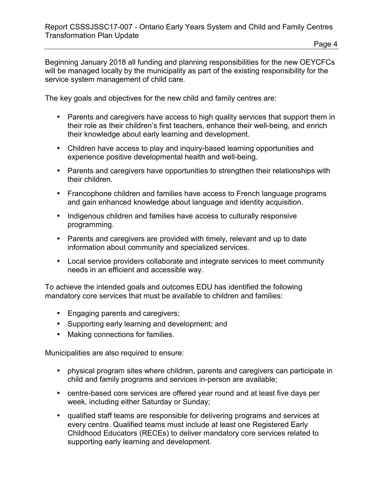Beginning January 2018 all funding and planning responsibilities for the new OEYCFCs will be managed locally by the municipality as part of the existing responsibility for the service system management of child care.

The key goals and objectives for the new child and family centres are:

- Parents and caregivers have access to high quality services that support them in their role as their children's first teachers, enhance their well-being, and enrich their knowledge about early learning and development.
- Children have access to play and inquiry-based learning opportunities and experience positive developmental health and well-being.
- Parents and caregivers have opportunities to strengthen their relationships with their children.
- Francophone children and families have access to French language programs and gain enhanced knowledge about language and identity acquisition.
- Indigenous children and families have access to culturally responsive programming.
- Parents and caregivers are provided with timely, relevant and up to date information about community and specialized services.
- Local service providers collaborate and integrate services to meet community needs in an efficient and accessible way.

To achieve the intended goals and outcomes EDU has identified the following mandatory core services that must be available to children and families:

- Engaging parents and caregivers;
- Supporting early learning and development; and
- Making connections for families.

Municipalities are also required to ensure:

- physical program sites where children, parents and caregivers can participate in child and family programs and services in-person are available;
- centre-based core services are offered year round and at least five days per week, including either Saturday or Sunday;
- qualified staff teams are responsible for delivering programs and services at every centre. Qualified teams must include at least one Registered Early Childhood Educators (RECEs) to deliver mandatory core services related to supporting early learning and development.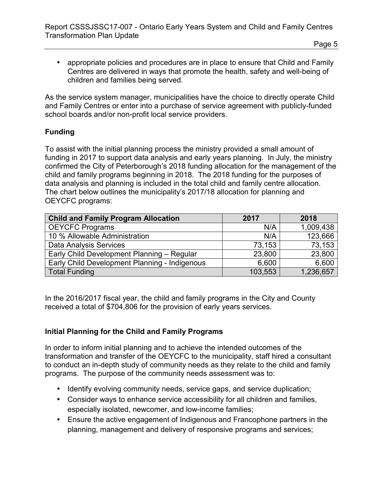• appropriate policies and procedures are in place to ensure that Child and Family Centres are delivered in ways that promote the health, safety and well-being of children and families being served.

As the service system manager, municipalities have the choice to directly operate Child and Family Centres or enter into a purchase of service agreement with publicly-funded school boards and/or non-profit local service providers.

#### **Funding**

To assist with the initial planning process the ministry provided a small amount of funding in 2017 to support data analysis and early years planning. In July, the ministry confirmed the City of Peterborough's 2018 funding allocation for the management of the child and family programs beginning in 2018. The 2018 funding for the purposes of data analysis and planning is included in the total child and family centre allocation. The chart below outlines the municipality's 2017/18 allocation for planning and OEYCFC programs:

| <b>Child and Family Program Allocation</b>    | 2017    | 2018      |
|-----------------------------------------------|---------|-----------|
| <b>OEYCFC Programs</b>                        | N/A     | 1,009,438 |
| 10 % Allowable Administration                 | N/A     | 123,666   |
| Data Analysis Services                        | 73,153  | 73,153    |
| Early Child Development Planning - Regular    | 23,800  | 23,800    |
| Early Child Development Planning - Indigenous | 6,600   | 6,600     |
| <b>Total Funding</b>                          | 103,553 | 1,236,657 |

In the 2016/2017 fiscal year, the child and family programs in the City and County received a total of \$704,806 for the provision of early years services.

#### **Initial Planning for the Child and Family Programs**

In order to inform initial planning and to achieve the intended outcomes of the transformation and transfer of the OEYCFC to the municipality, staff hired a consultant to conduct an in-depth study of community needs as they relate to the child and family programs. The purpose of the community needs assessment was to:

- Identify evolving community needs, service gaps, and service duplication;
- Consider ways to enhance service accessibility for all children and families, especially isolated, newcomer, and low-income families;
- Ensure the active engagement of Indigenous and Francophone partners in the planning, management and delivery of responsive programs and services;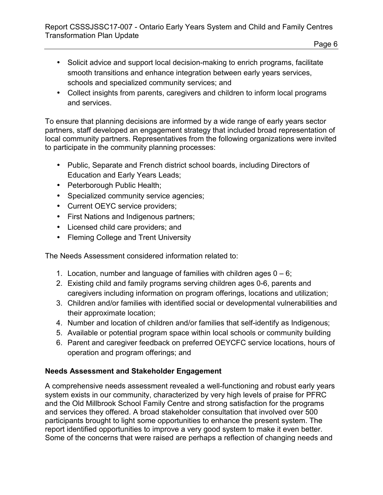- Solicit advice and support local decision-making to enrich programs, facilitate smooth transitions and enhance integration between early years services, schools and specialized community services; and
- Collect insights from parents, caregivers and children to inform local programs and services.

To ensure that planning decisions are informed by a wide range of early years sector partners, staff developed an engagement strategy that included broad representation of local community partners. Representatives from the following organizations were invited to participate in the community planning processes:

- Public, Separate and French district school boards, including Directors of Education and Early Years Leads;
- Peterborough Public Health;
- Specialized community service agencies;
- Current OEYC service providers;
- First Nations and Indigenous partners;
- Licensed child care providers; and
- Fleming College and Trent University

The Needs Assessment considered information related to:

- 1. Location, number and language of families with children ages  $0 6$ ;
- 2. Existing child and family programs serving children ages 0-6, parents and caregivers including information on program offerings, locations and utilization;
- 3. Children and/or families with identified social or developmental vulnerabilities and their approximate location;
- 4. Number and location of children and/or families that self-identify as Indigenous;
- 5. Available or potential program space within local schools or community building
- 6. Parent and caregiver feedback on preferred OEYCFC service locations, hours of operation and program offerings; and

### **Needs Assessment and Stakeholder Engagement**

A comprehensive needs assessment revealed a well-functioning and robust early years system exists in our community, characterized by very high levels of praise for PFRC and the Old Millbrook School Family Centre and strong satisfaction for the programs and services they offered. A broad stakeholder consultation that involved over 500 participants brought to light some opportunities to enhance the present system. The report identified opportunities to improve a very good system to make it even better. Some of the concerns that were raised are perhaps a reflection of changing needs and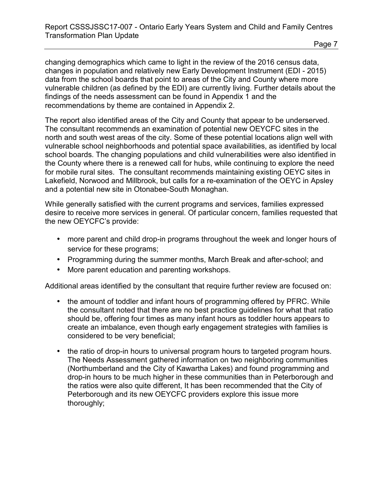changing demographics which came to light in the review of the 2016 census data, changes in population and relatively new Early Development Instrument (EDI - 2015) data from the school boards that point to areas of the City and County where more vulnerable children (as defined by the EDI) are currently living. Further details about the findings of the needs assessment can be found in Appendix 1 and the recommendations by theme are contained in Appendix 2.

The report also identified areas of the City and County that appear to be underserved. The consultant recommends an examination of potential new OEYCFC sites in the north and south west areas of the city. Some of these potential locations align well with vulnerable school neighborhoods and potential space availabilities, as identified by local school boards. The changing populations and child vulnerabilities were also identified in the County where there is a renewed call for hubs, while continuing to explore the need for mobile rural sites. The consultant recommends maintaining existing OEYC sites in Lakefield, Norwood and Millbrook, but calls for a re-examination of the OEYC in Apsley and a potential new site in Otonabee-South Monaghan.

While generally satisfied with the current programs and services, families expressed desire to receive more services in general. Of particular concern, families requested that the new OEYCFC's provide:

- more parent and child drop-in programs throughout the week and longer hours of service for these programs;
- Programming during the summer months, March Break and after-school; and
- More parent education and parenting workshops.

Additional areas identified by the consultant that require further review are focused on:

- the amount of toddler and infant hours of programming offered by PFRC. While the consultant noted that there are no best practice guidelines for what that ratio should be, offering four times as many infant hours as toddler hours appears to create an imbalance, even though early engagement strategies with families is considered to be very beneficial;
- the ratio of drop-in hours to universal program hours to targeted program hours. The Needs Assessment gathered information on two neighboring communities (Northumberland and the City of Kawartha Lakes) and found programming and drop-in hours to be much higher in these communities than in Peterborough and the ratios were also quite different, It has been recommended that the City of Peterborough and its new OEYCFC providers explore this issue more thoroughly;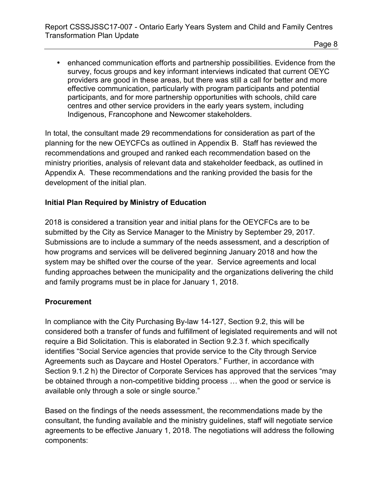• enhanced communication efforts and partnership possibilities. Evidence from the survey, focus groups and key informant interviews indicated that current OEYC providers are good in these areas, but there was still a call for better and more effective communication, particularly with program participants and potential participants, and for more partnership opportunities with schools, child care centres and other service providers in the early years system, including Indigenous, Francophone and Newcomer stakeholders.

In total, the consultant made 29 recommendations for consideration as part of the planning for the new OEYCFCs as outlined in Appendix B. Staff has reviewed the recommendations and grouped and ranked each recommendation based on the ministry priorities, analysis of relevant data and stakeholder feedback, as outlined in Appendix A. These recommendations and the ranking provided the basis for the development of the initial plan.

#### **Initial Plan Required by Ministry of Education**

2018 is considered a transition year and initial plans for the OEYCFCs are to be submitted by the City as Service Manager to the Ministry by September 29, 2017. Submissions are to include a summary of the needs assessment, and a description of how programs and services will be delivered beginning January 2018 and how the system may be shifted over the course of the year. Service agreements and local funding approaches between the municipality and the organizations delivering the child and family programs must be in place for January 1, 2018.

#### **Procurement**

In compliance with the City Purchasing By-law 14-127, Section 9.2, this will be considered both a transfer of funds and fulfillment of legislated requirements and will not require a Bid Solicitation. This is elaborated in Section 9.2.3 f. which specifically identifies "Social Service agencies that provide service to the City through Service Agreements such as Daycare and Hostel Operators." Further, in accordance with Section 9.1.2 h) the Director of Corporate Services has approved that the services "may be obtained through a non-competitive bidding process … when the good or service is available only through a sole or single source."

Based on the findings of the needs assessment, the recommendations made by the consultant, the funding available and the ministry guidelines, staff will negotiate service agreements to be effective January 1, 2018. The negotiations will address the following components: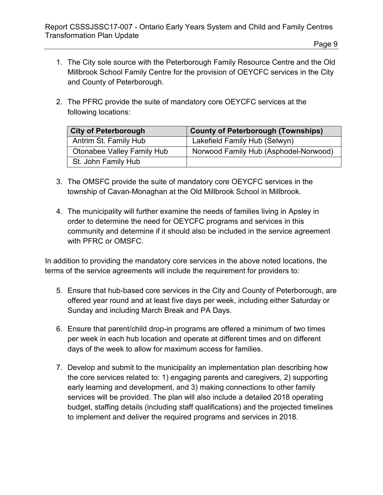- 1. The City sole source with the Peterborough Family Resource Centre and the Old Millbrook School Family Centre for the provision of OEYCFC services in the City and County of Peterborough.
- 2. The PFRC provide the suite of mandatory core OEYCFC services at the following locations:

| <b>City of Peterborough</b>       | <b>County of Peterborough (Townships)</b> |
|-----------------------------------|-------------------------------------------|
| Antrim St. Family Hub             | Lakefield Family Hub (Selwyn)             |
| <b>Otonabee Valley Family Hub</b> | Norwood Family Hub (Asphodel-Norwood)     |
| St. John Family Hub               |                                           |

- 3. The OMSFC provide the suite of mandatory core OEYCFC services in the township of Cavan-Monaghan at the Old Millbrook School in Millbrook.
- 4. The municipality will further examine the needs of families living in Apsley in order to determine the need for OEYCFC programs and services in this community and determine if it should also be included in the service agreement with PFRC or OMSFC.

In addition to providing the mandatory core services in the above noted locations, the terms of the service agreements will include the requirement for providers to:

- 5. Ensure that hub-based core services in the City and County of Peterborough, are offered year round and at least five days per week, including either Saturday or Sunday and including March Break and PA Days.
- 6. Ensure that parent/child drop-in programs are offered a minimum of two times per week in each hub location and operate at different times and on different days of the week to allow for maximum access for families.
- 7. Develop and submit to the municipality an implementation plan describing how the core services related to: 1) engaging parents and caregivers, 2) supporting early learning and development, and 3) making connections to other family services will be provided. The plan will also include a detailed 2018 operating budget, staffing details (including staff qualifications) and the projected timelines to implement and deliver the required programs and services in 2018.